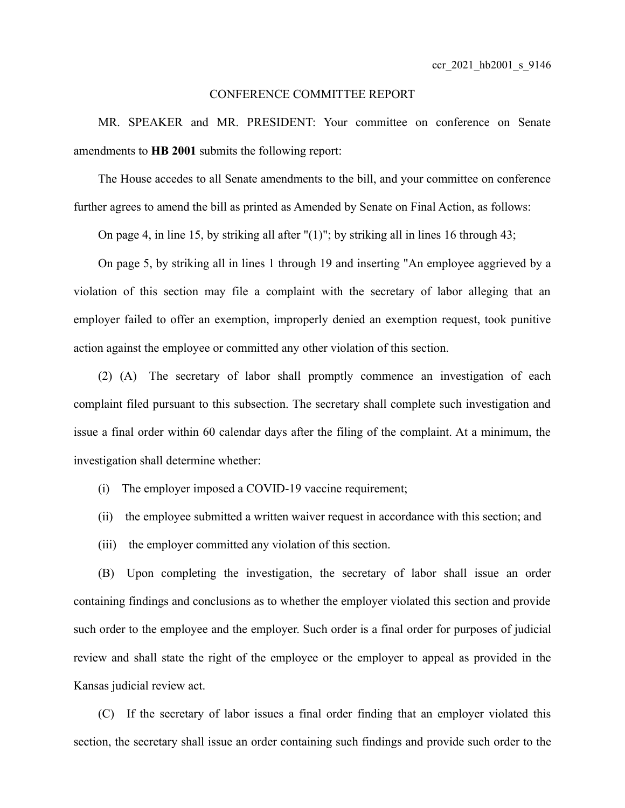## CONFERENCE COMMITTEE REPORT

MR. SPEAKER and MR. PRESIDENT: Your committee on conference on Senate amendments to **HB 2001** submits the following report:

The House accedes to all Senate amendments to the bill, and your committee on conference further agrees to amend the bill as printed as Amended by Senate on Final Action, as follows:

On page 4, in line 15, by striking all after "(1)"; by striking all in lines 16 through 43;

On page 5, by striking all in lines 1 through 19 and inserting "An employee aggrieved by a violation of this section may file a complaint with the secretary of labor alleging that an employer failed to offer an exemption, improperly denied an exemption request, took punitive action against the employee or committed any other violation of this section.

(2) (A) The secretary of labor shall promptly commence an investigation of each complaint filed pursuant to this subsection. The secretary shall complete such investigation and issue a final order within 60 calendar days after the filing of the complaint. At a minimum, the investigation shall determine whether:

- (i) The employer imposed a COVID-19 vaccine requirement;
- (ii) the employee submitted a written waiver request in accordance with this section; and
- (iii) the employer committed any violation of this section.

(B) Upon completing the investigation, the secretary of labor shall issue an order containing findings and conclusions as to whether the employer violated this section and provide such order to the employee and the employer. Such order is a final order for purposes of judicial review and shall state the right of the employee or the employer to appeal as provided in the Kansas judicial review act.

(C) If the secretary of labor issues a final order finding that an employer violated this section, the secretary shall issue an order containing such findings and provide such order to the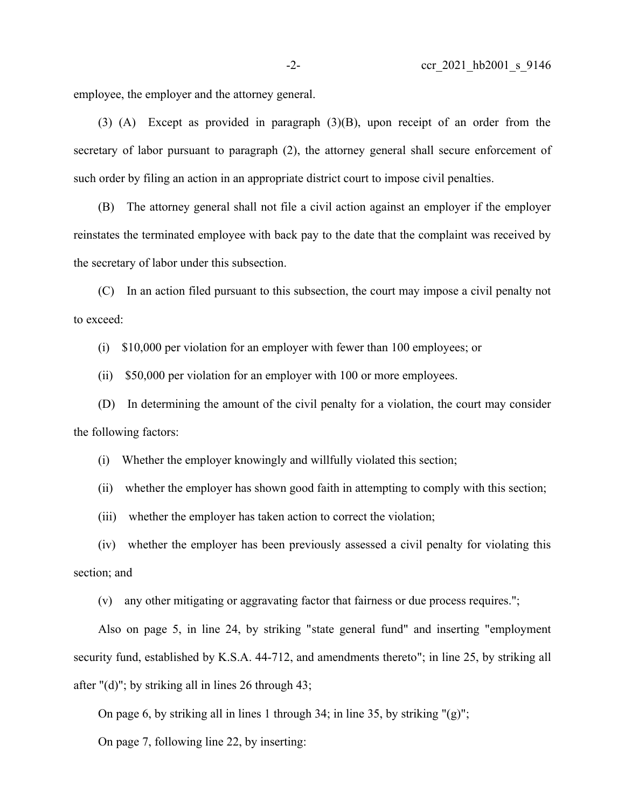employee, the employer and the attorney general.

(3) (A) Except as provided in paragraph (3)(B), upon receipt of an order from the secretary of labor pursuant to paragraph (2), the attorney general shall secure enforcement of such order by filing an action in an appropriate district court to impose civil penalties.

(B) The attorney general shall not file a civil action against an employer if the employer reinstates the terminated employee with back pay to the date that the complaint was received by the secretary of labor under this subsection.

(C) In an action filed pursuant to this subsection, the court may impose a civil penalty not to exceed:

(i) \$10,000 per violation for an employer with fewer than 100 employees; or

(ii) \$50,000 per violation for an employer with 100 or more employees.

(D) In determining the amount of the civil penalty for a violation, the court may consider the following factors:

(i) Whether the employer knowingly and willfully violated this section;

(ii) whether the employer has shown good faith in attempting to comply with this section;

(iii) whether the employer has taken action to correct the violation;

(iv) whether the employer has been previously assessed a civil penalty for violating this section; and

(v) any other mitigating or aggravating factor that fairness or due process requires.";

Also on page 5, in line 24, by striking "state general fund" and inserting "employment security fund, established by K.S.A. 44-712, and amendments thereto"; in line 25, by striking all after " $(d)$ "; by striking all in lines 26 through 43;

On page 6, by striking all in lines 1 through 34; in line 35, by striking  $(2)$ ";

On page 7, following line 22, by inserting: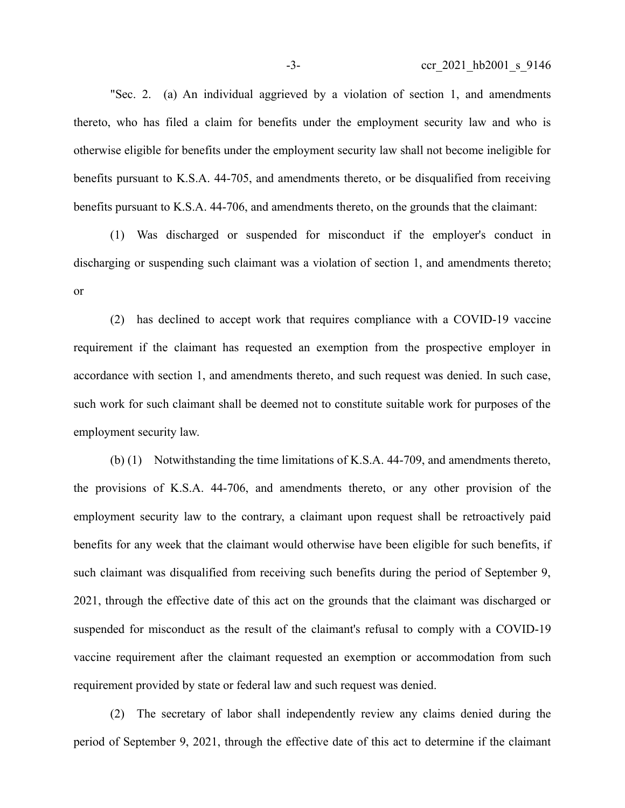"Sec. 2. (a) An individual aggrieved by a violation of section 1, and amendments thereto, who has filed a claim for benefits under the employment security law and who is otherwise eligible for benefits under the employment security law shall not become ineligible for benefits pursuant to K.S.A. 44-705, and amendments thereto, or be disqualified from receiving benefits pursuant to K.S.A. 44-706, and amendments thereto, on the grounds that the claimant:

(1) Was discharged or suspended for misconduct if the employer's conduct in discharging or suspending such claimant was a violation of section 1, and amendments thereto; or

(2) has declined to accept work that requires compliance with a COVID-19 vaccine requirement if the claimant has requested an exemption from the prospective employer in accordance with section 1, and amendments thereto, and such request was denied. In such case, such work for such claimant shall be deemed not to constitute suitable work for purposes of the employment security law.

(b) (1) Notwithstanding the time limitations of K.S.A. 44-709, and amendments thereto, the provisions of K.S.A. 44-706, and amendments thereto, or any other provision of the employment security law to the contrary, a claimant upon request shall be retroactively paid benefits for any week that the claimant would otherwise have been eligible for such benefits, if such claimant was disqualified from receiving such benefits during the period of September 9, 2021, through the effective date of this act on the grounds that the claimant was discharged or suspended for misconduct as the result of the claimant's refusal to comply with a COVID-19 vaccine requirement after the claimant requested an exemption or accommodation from such requirement provided by state or federal law and such request was denied.

(2) The secretary of labor shall independently review any claims denied during the period of September 9, 2021, through the effective date of this act to determine if the claimant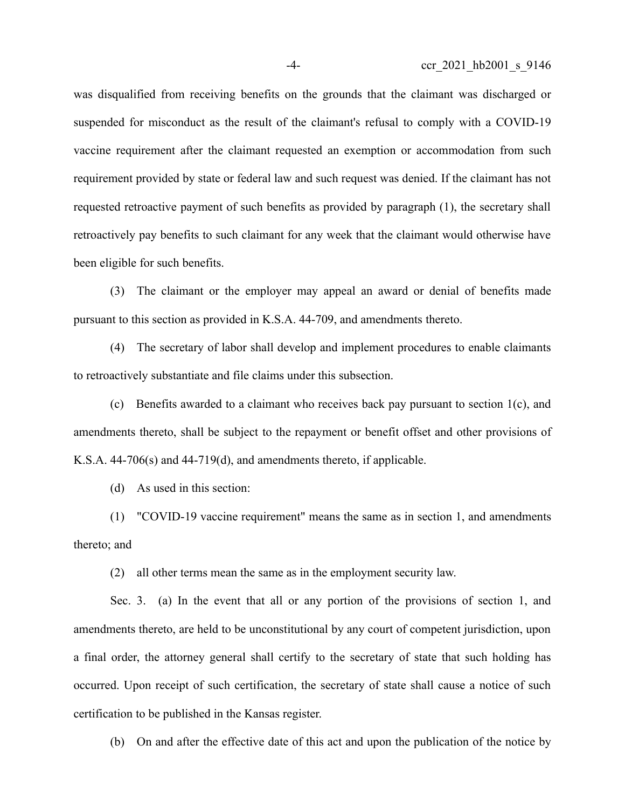was disqualified from receiving benefits on the grounds that the claimant was discharged or suspended for misconduct as the result of the claimant's refusal to comply with a COVID-19 vaccine requirement after the claimant requested an exemption or accommodation from such requirement provided by state or federal law and such request was denied. If the claimant has not requested retroactive payment of such benefits as provided by paragraph (1), the secretary shall retroactively pay benefits to such claimant for any week that the claimant would otherwise have been eligible for such benefits.

(3) The claimant or the employer may appeal an award or denial of benefits made pursuant to this section as provided in K.S.A. 44-709, and amendments thereto.

(4) The secretary of labor shall develop and implement procedures to enable claimants to retroactively substantiate and file claims under this subsection.

(c) Benefits awarded to a claimant who receives back pay pursuant to section 1(c), and amendments thereto, shall be subject to the repayment or benefit offset and other provisions of K.S.A. 44-706(s) and 44-719(d), and amendments thereto, if applicable.

(d) As used in this section:

(1) "COVID-19 vaccine requirement" means the same as in section 1, and amendments thereto; and

(2) all other terms mean the same as in the employment security law.

Sec. 3. (a) In the event that all or any portion of the provisions of section 1, and amendments thereto, are held to be unconstitutional by any court of competent jurisdiction, upon a final order, the attorney general shall certify to the secretary of state that such holding has occurred. Upon receipt of such certification, the secretary of state shall cause a notice of such certification to be published in the Kansas register.

(b) On and after the effective date of this act and upon the publication of the notice by